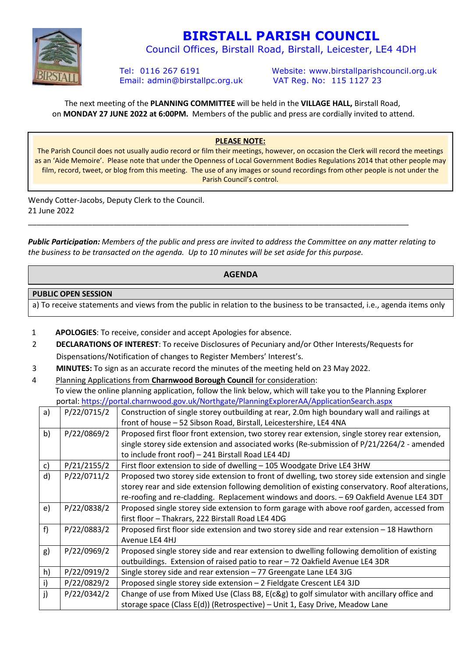

# **BIRSTALL PARISH COUNCIL**

Council Offices, Birstall Road, Birstall, Leicester, LE4 4DH

Email: admin@birstallpc.org.uk VAT Reg. No: 115 1127 23

Tel: 0116 267 6191 Website: www.birstallparishcouncil.org.uk

The next meeting of the **PLANNING COMMITTEE** will be held in the **VILLAGE HALL,** Birstall Road, on **MONDAY 27 JUNE 2022 at 6:00PM.** Members of the public and press are cordially invited to attend.

### **PLEASE NOTE:**

The Parish Council does not usually audio record or film their meetings, however, on occasion the Clerk will record the meetings as an 'Aide Memoire'. Please note that under the Openness of Local Government Bodies Regulations 2014 that other people may film, record, tweet, or blog from this meeting. The use of any images or sound recordings from other people is not under the Parish Council's control.

Wendy Cotter-Jacobs, Deputy Clerk to the Council. 21 June 2022

*Public Participation: Members of the public and press are invited to address the Committee on any matter relating to the business to be transacted on the agenda. Up to 10 minutes will be set aside for this purpose.* 

\_\_\_\_\_\_\_\_\_\_\_\_\_\_\_\_\_\_\_\_\_\_\_\_\_\_\_\_\_\_\_\_\_\_\_\_\_\_\_\_\_\_\_\_\_\_\_\_\_\_\_\_\_\_\_\_\_\_\_\_\_\_\_\_\_\_\_\_\_\_\_\_\_\_\_\_\_\_\_\_\_\_\_\_\_\_\_\_\_

#### **AGENDA**

#### **PUBLIC OPEN SESSION**

a) To receive statements and views from the public in relation to the business to be transacted, i.e., agenda items only

- 1 **APOLOGIES**: To receive, consider and accept Apologies for absence.
- 2 **DECLARATIONS OF INTEREST**: To receive Disclosures of Pecuniary and/or Other Interests/Requests for Dispensations/Notification of changes to Register Members' Interest's.
- 3 **MINUTES:** To sign as an accurate record the minutes of the meeting held on 23 May 2022.
- 4 Planning Applications from **Charnwood Borough Council** for consideration:

 To view the online planning application, follow the link below, which will take you to the Planning Explorer portal: https://portal.charnwood.gov.uk/Northgate/PlanningExplorerAA/ApplicationSearch.aspx

| a) | P/22/0715/2 | Construction of single storey outbuilding at rear, 2.0m high boundary wall and railings at      |
|----|-------------|-------------------------------------------------------------------------------------------------|
|    |             | front of house - 52 Sibson Road, Birstall, Leicestershire, LE4 4NA                              |
| b) | P/22/0869/2 | Proposed first floor front extension, two storey rear extension, single storey rear extension,  |
|    |             | single storey side extension and associated works (Re-submission of P/21/2264/2 - amended       |
|    |             | to include front roof) - 241 Birstall Road LE4 4DJ                                              |
| c) | P/21/2155/2 | First floor extension to side of dwelling - 105 Woodgate Drive LE4 3HW                          |
| d) | P/22/0711/2 | Proposed two storey side extension to front of dwelling, two storey side extension and single   |
|    |             | storey rear and side extension following demolition of existing conservatory. Roof alterations, |
|    |             | re-roofing and re-cladding. Replacement windows and doors. - 69 Oakfield Avenue LE4 3DT         |
| e) | P/22/0838/2 | Proposed single storey side extension to form garage with above roof garden, accessed from      |
|    |             | first floor - Thakrars, 222 Birstall Road LE4 4DG                                               |
| f) | P/22/0883/2 | Proposed first floor side extension and two storey side and rear extension - 18 Hawthorn        |
|    |             | Avenue LE4 4HJ                                                                                  |
| g) | P/22/0969/2 | Proposed single storey side and rear extension to dwelling following demolition of existing     |
|    |             | outbuildings. Extension of raised patio to rear - 72 Oakfield Avenue LE4 3DR                    |
| h) | P/22/0919/2 | Single storey side and rear extension - 77 Greengate Lane LE4 3JG                               |
| i) | P/22/0829/2 | Proposed single storey side extension - 2 Fieldgate Crescent LE4 3JD                            |
| j) | P/22/0342/2 | Change of use from Mixed Use (Class B8, E(c&g) to golf simulator with ancillary office and      |
|    |             | storage space (Class E(d)) (Retrospective) - Unit 1, Easy Drive, Meadow Lane                    |